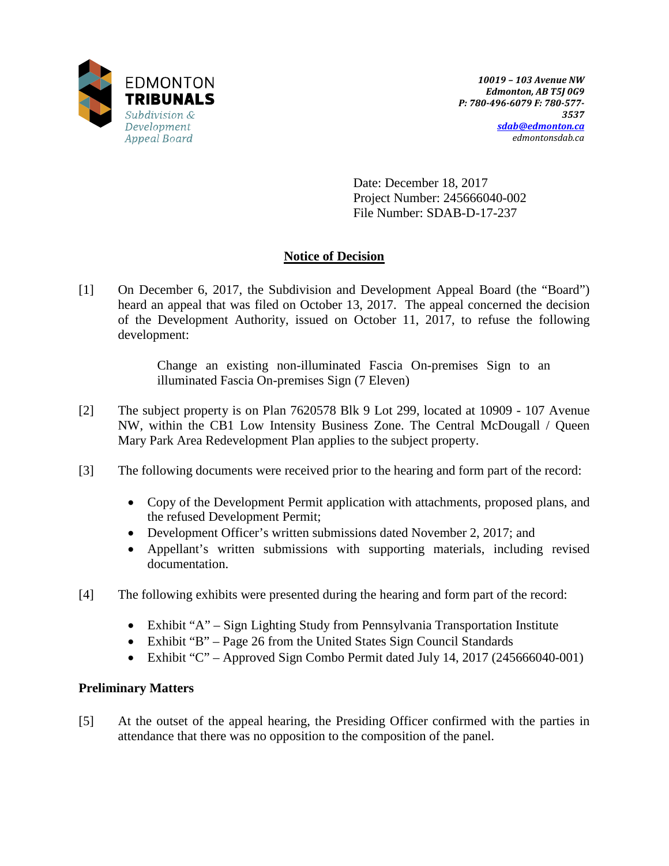

Date: December 18, 2017 Project Number: 245666040-002 File Number: SDAB-D-17-237

## **Notice of Decision**

[1] On December 6, 2017, the Subdivision and Development Appeal Board (the "Board") heard an appeal that was filed on October 13, 2017. The appeal concerned the decision of the Development Authority, issued on October 11, 2017, to refuse the following development:

> Change an existing non-illuminated Fascia On-premises Sign to an illuminated Fascia On-premises Sign (7 Eleven)

- [2] The subject property is on Plan 7620578 Blk 9 Lot 299, located at 10909 107 Avenue NW, within the CB1 Low Intensity Business Zone. The Central McDougall / Queen Mary Park Area Redevelopment Plan applies to the subject property.
- [3] The following documents were received prior to the hearing and form part of the record:
	- Copy of the Development Permit application with attachments, proposed plans, and the refused Development Permit;
	- Development Officer's written submissions dated November 2, 2017; and
	- Appellant's written submissions with supporting materials, including revised documentation.
- [4] The following exhibits were presented during the hearing and form part of the record:
	- Exhibit "A" Sign Lighting Study from Pennsylvania Transportation Institute
	- Exhibit "B" Page 26 from the United States Sign Council Standards
	- Exhibit "C" Approved Sign Combo Permit dated July 14, 2017 (245666040-001)

## **Preliminary Matters**

[5] At the outset of the appeal hearing, the Presiding Officer confirmed with the parties in attendance that there was no opposition to the composition of the panel.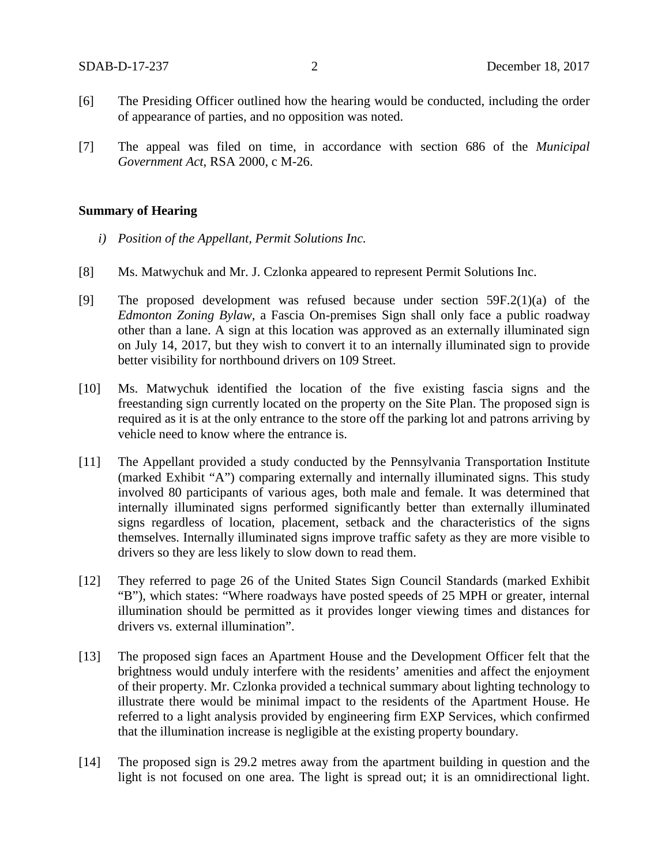- [6] The Presiding Officer outlined how the hearing would be conducted, including the order of appearance of parties, and no opposition was noted.
- [7] The appeal was filed on time, in accordance with section 686 of the *Municipal Government Act*, RSA 2000, c M-26.

#### **Summary of Hearing**

- *i) Position of the Appellant, Permit Solutions Inc.*
- [8] Ms. Matwychuk and Mr. J. Czlonka appeared to represent Permit Solutions Inc.
- [9] The proposed development was refused because under section 59F.2(1)(a) of the *Edmonton Zoning Bylaw*, a Fascia On-premises Sign shall only face a public roadway other than a lane. A sign at this location was approved as an externally illuminated sign on July 14, 2017, but they wish to convert it to an internally illuminated sign to provide better visibility for northbound drivers on 109 Street.
- [10] Ms. Matwychuk identified the location of the five existing fascia signs and the freestanding sign currently located on the property on the Site Plan. The proposed sign is required as it is at the only entrance to the store off the parking lot and patrons arriving by vehicle need to know where the entrance is.
- [11] The Appellant provided a study conducted by the Pennsylvania Transportation Institute (marked Exhibit "A") comparing externally and internally illuminated signs. This study involved 80 participants of various ages, both male and female. It was determined that internally illuminated signs performed significantly better than externally illuminated signs regardless of location, placement, setback and the characteristics of the signs themselves. Internally illuminated signs improve traffic safety as they are more visible to drivers so they are less likely to slow down to read them.
- [12] They referred to page 26 of the United States Sign Council Standards (marked Exhibit "B"), which states: "Where roadways have posted speeds of 25 MPH or greater, internal illumination should be permitted as it provides longer viewing times and distances for drivers vs. external illumination".
- [13] The proposed sign faces an Apartment House and the Development Officer felt that the brightness would unduly interfere with the residents' amenities and affect the enjoyment of their property. Mr. Czlonka provided a technical summary about lighting technology to illustrate there would be minimal impact to the residents of the Apartment House. He referred to a light analysis provided by engineering firm EXP Services, which confirmed that the illumination increase is negligible at the existing property boundary.
- [14] The proposed sign is 29.2 metres away from the apartment building in question and the light is not focused on one area. The light is spread out; it is an omnidirectional light.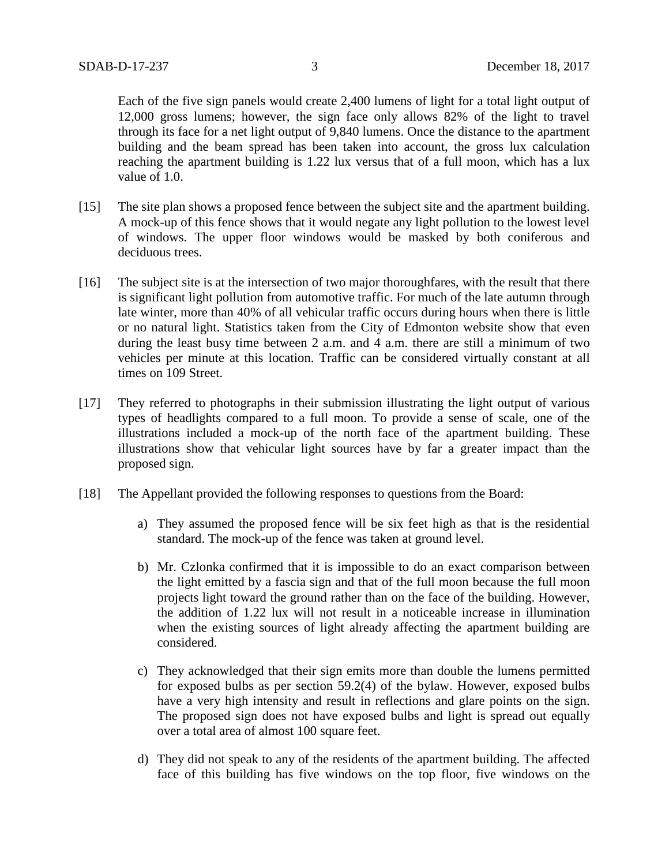Each of the five sign panels would create 2,400 lumens of light for a total light output of 12,000 gross lumens; however, the sign face only allows 82% of the light to travel through its face for a net light output of 9,840 lumens. Once the distance to the apartment building and the beam spread has been taken into account, the gross lux calculation reaching the apartment building is 1.22 lux versus that of a full moon, which has a lux value of 1.0.

- [15] The site plan shows a proposed fence between the subject site and the apartment building. A mock-up of this fence shows that it would negate any light pollution to the lowest level of windows. The upper floor windows would be masked by both coniferous and deciduous trees.
- [16] The subject site is at the intersection of two major thoroughfares, with the result that there is significant light pollution from automotive traffic. For much of the late autumn through late winter, more than 40% of all vehicular traffic occurs during hours when there is little or no natural light. Statistics taken from the City of Edmonton website show that even during the least busy time between 2 a.m. and 4 a.m. there are still a minimum of two vehicles per minute at this location. Traffic can be considered virtually constant at all times on 109 Street.
- [17] They referred to photographs in their submission illustrating the light output of various types of headlights compared to a full moon. To provide a sense of scale, one of the illustrations included a mock-up of the north face of the apartment building. These illustrations show that vehicular light sources have by far a greater impact than the proposed sign.
- [18] The Appellant provided the following responses to questions from the Board:
	- a) They assumed the proposed fence will be six feet high as that is the residential standard. The mock-up of the fence was taken at ground level.
	- b) Mr. Czlonka confirmed that it is impossible to do an exact comparison between the light emitted by a fascia sign and that of the full moon because the full moon projects light toward the ground rather than on the face of the building. However, the addition of 1.22 lux will not result in a noticeable increase in illumination when the existing sources of light already affecting the apartment building are considered.
	- c) They acknowledged that their sign emits more than double the lumens permitted for exposed bulbs as per section 59.2(4) of the bylaw. However, exposed bulbs have a very high intensity and result in reflections and glare points on the sign. The proposed sign does not have exposed bulbs and light is spread out equally over a total area of almost 100 square feet.
	- d) They did not speak to any of the residents of the apartment building. The affected face of this building has five windows on the top floor, five windows on the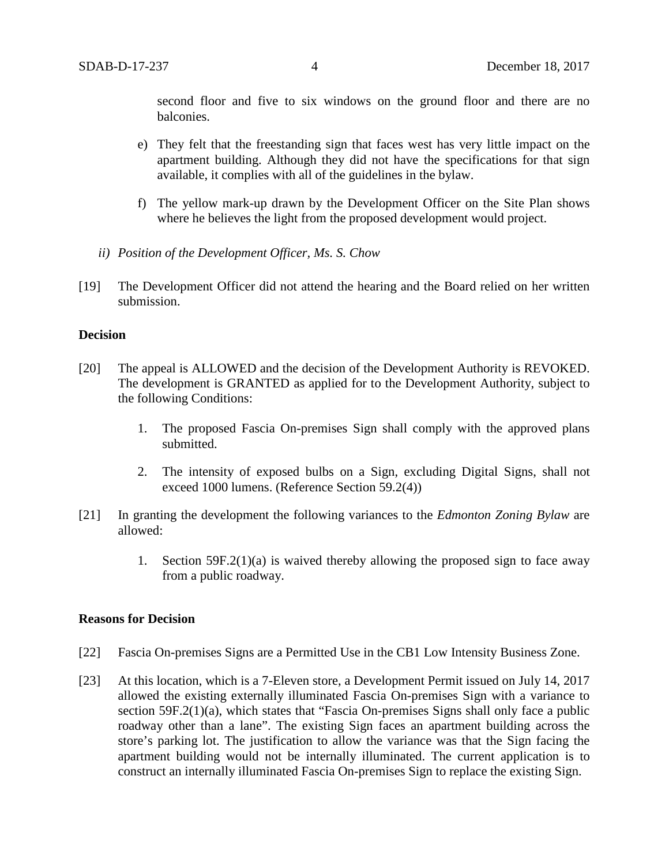second floor and five to six windows on the ground floor and there are no balconies.

- e) They felt that the freestanding sign that faces west has very little impact on the apartment building. Although they did not have the specifications for that sign available, it complies with all of the guidelines in the bylaw.
- f) The yellow mark-up drawn by the Development Officer on the Site Plan shows where he believes the light from the proposed development would project.
- *ii) Position of the Development Officer, Ms. S. Chow*
- [19] The Development Officer did not attend the hearing and the Board relied on her written submission.

#### **Decision**

- [20] The appeal is ALLOWED and the decision of the Development Authority is REVOKED. The development is GRANTED as applied for to the Development Authority, subject to the following Conditions:
	- 1. The proposed Fascia On-premises Sign shall comply with the approved plans submitted.
	- 2. The intensity of exposed bulbs on a Sign, excluding Digital Signs, shall not exceed 1000 lumens. (Reference Section 59.2(4))
- [21] In granting the development the following variances to the *Edmonton Zoning Bylaw* are allowed:
	- 1. Section 59F.2(1)(a) is waived thereby allowing the proposed sign to face away from a public roadway.

#### **Reasons for Decision**

- [22] Fascia On-premises Signs are a Permitted Use in the CB1 Low Intensity Business Zone.
- [23] At this location, which is a 7-Eleven store, a Development Permit issued on July 14, 2017 allowed the existing externally illuminated Fascia On-premises Sign with a variance to section 59F.2(1)(a), which states that "Fascia On-premises Signs shall only face a public roadway other than a lane". The existing Sign faces an apartment building across the store's parking lot. The justification to allow the variance was that the Sign facing the apartment building would not be internally illuminated. The current application is to construct an internally illuminated Fascia On-premises Sign to replace the existing Sign.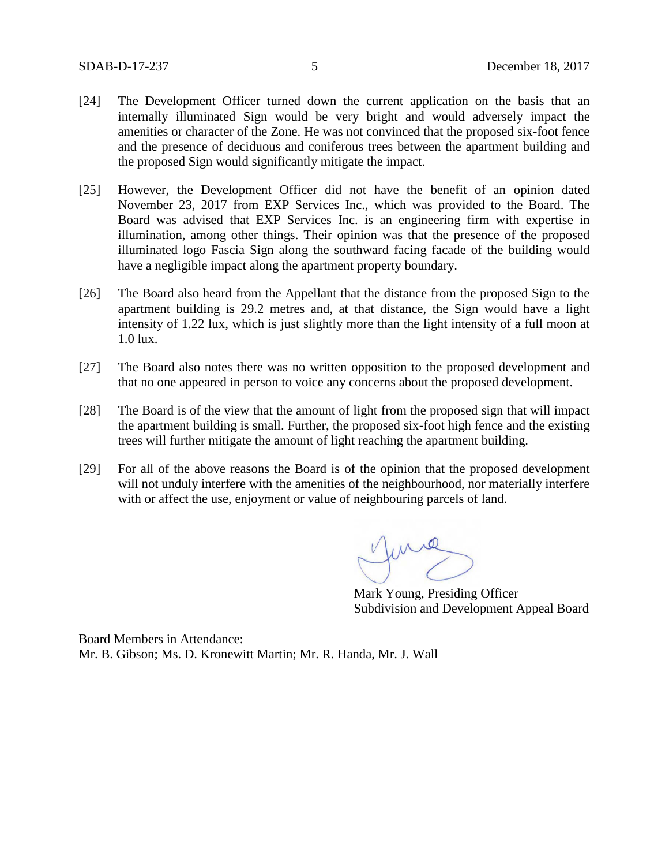- [24] The Development Officer turned down the current application on the basis that an internally illuminated Sign would be very bright and would adversely impact the amenities or character of the Zone. He was not convinced that the proposed six-foot fence and the presence of deciduous and coniferous trees between the apartment building and the proposed Sign would significantly mitigate the impact.
- [25] However, the Development Officer did not have the benefit of an opinion dated November 23, 2017 from EXP Services Inc., which was provided to the Board. The Board was advised that EXP Services Inc. is an engineering firm with expertise in illumination, among other things. Their opinion was that the presence of the proposed illuminated logo Fascia Sign along the southward facing facade of the building would have a negligible impact along the apartment property boundary.
- [26] The Board also heard from the Appellant that the distance from the proposed Sign to the apartment building is 29.2 metres and, at that distance, the Sign would have a light intensity of 1.22 lux, which is just slightly more than the light intensity of a full moon at 1.0 lux.
- [27] The Board also notes there was no written opposition to the proposed development and that no one appeared in person to voice any concerns about the proposed development.
- [28] The Board is of the view that the amount of light from the proposed sign that will impact the apartment building is small. Further, the proposed six-foot high fence and the existing trees will further mitigate the amount of light reaching the apartment building.
- [29] For all of the above reasons the Board is of the opinion that the proposed development will not unduly interfere with the amenities of the neighbourhood, nor materially interfere with or affect the use, enjoyment or value of neighbouring parcels of land.

me

Mark Young, Presiding Officer Subdivision and Development Appeal Board

Board Members in Attendance: Mr. B. Gibson; Ms. D. Kronewitt Martin; Mr. R. Handa, Mr. J. Wall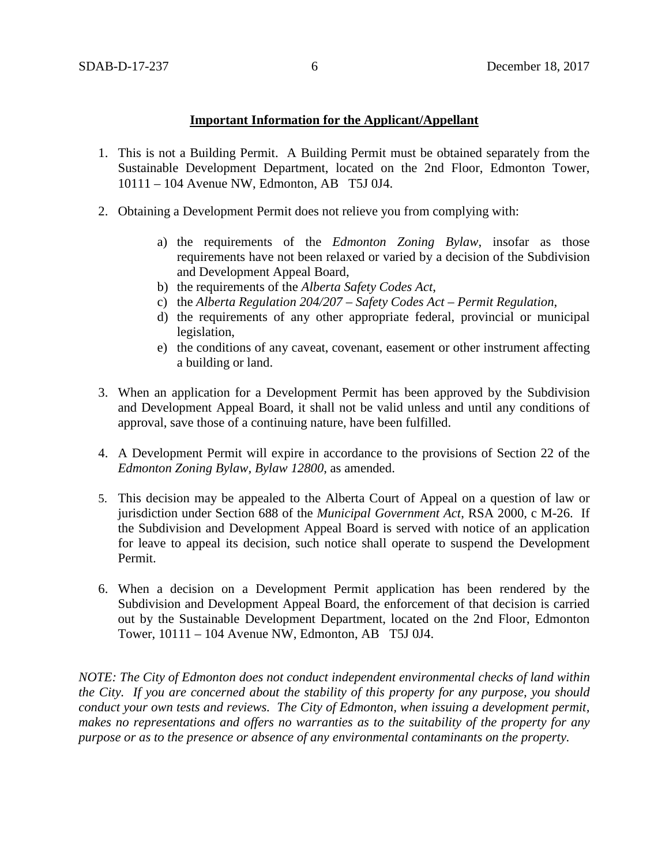### **Important Information for the Applicant/Appellant**

- 1. This is not a Building Permit. A Building Permit must be obtained separately from the Sustainable Development Department, located on the 2nd Floor, Edmonton Tower, 10111 – 104 Avenue NW, Edmonton, AB T5J 0J4.
- 2. Obtaining a Development Permit does not relieve you from complying with:
	- a) the requirements of the *Edmonton Zoning Bylaw*, insofar as those requirements have not been relaxed or varied by a decision of the Subdivision and Development Appeal Board,
	- b) the requirements of the *Alberta Safety Codes Act*,
	- c) the *Alberta Regulation 204/207 – Safety Codes Act – Permit Regulation*,
	- d) the requirements of any other appropriate federal, provincial or municipal legislation,
	- e) the conditions of any caveat, covenant, easement or other instrument affecting a building or land.
- 3. When an application for a Development Permit has been approved by the Subdivision and Development Appeal Board, it shall not be valid unless and until any conditions of approval, save those of a continuing nature, have been fulfilled.
- 4. A Development Permit will expire in accordance to the provisions of Section 22 of the *Edmonton Zoning Bylaw, Bylaw 12800*, as amended.
- 5. This decision may be appealed to the Alberta Court of Appeal on a question of law or jurisdiction under Section 688 of the *Municipal Government Act*, RSA 2000, c M-26. If the Subdivision and Development Appeal Board is served with notice of an application for leave to appeal its decision, such notice shall operate to suspend the Development Permit.
- 6. When a decision on a Development Permit application has been rendered by the Subdivision and Development Appeal Board, the enforcement of that decision is carried out by the Sustainable Development Department, located on the 2nd Floor, Edmonton Tower, 10111 – 104 Avenue NW, Edmonton, AB T5J 0J4.

*NOTE: The City of Edmonton does not conduct independent environmental checks of land within the City. If you are concerned about the stability of this property for any purpose, you should conduct your own tests and reviews. The City of Edmonton, when issuing a development permit, makes no representations and offers no warranties as to the suitability of the property for any purpose or as to the presence or absence of any environmental contaminants on the property.*